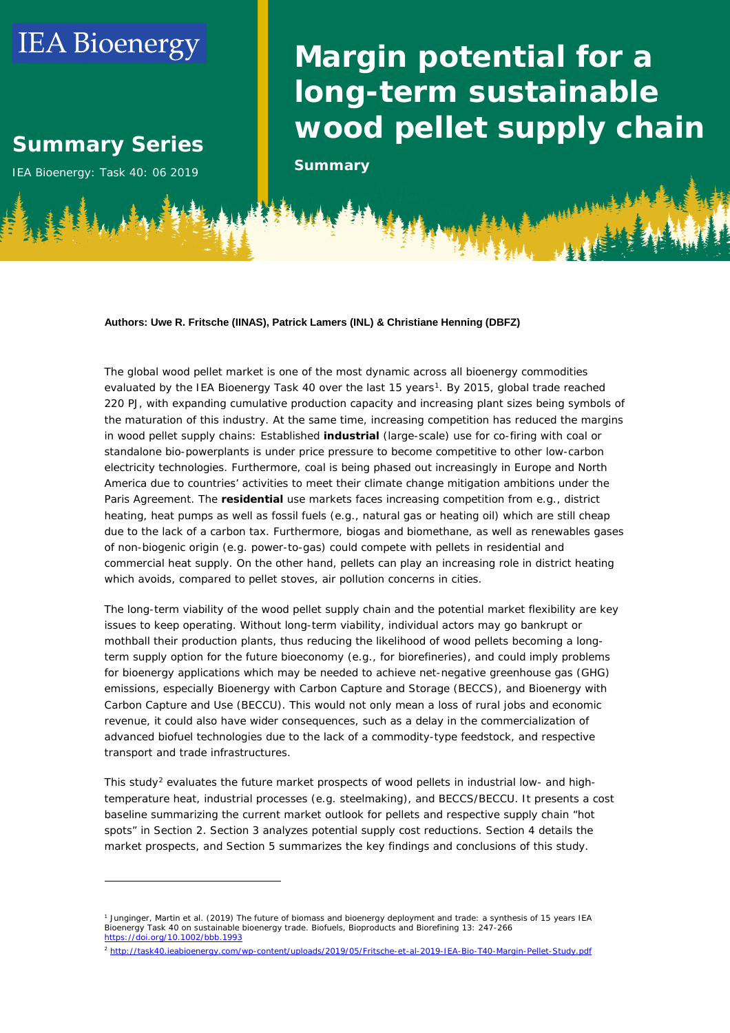# **IEA Bioenergy**

# **Summary Series Summary Series**

**IEA Bioenergy: Task 40: 06 2019 Summary** 

-

# **Margin potential for a Margin potential for a long-term sustainable long-term sustainable wood pellet supply chain wood pellet supply chain**

#### **Authors: Uwe R. Fritsche (IINAS), Patrick Lamers (INL) & Christiane Henning (DBFZ)**

The global wood pellet market is one of the most dynamic across all bioenergy commodities evaluated by the IEA Bioenergy Task 40 over the last 15 years<sup>1</sup>. By 2015, global trade reached 220 PJ, with expanding cumulative production capacity and increasing plant sizes being symbols of the maturation of this industry. At the same time, increasing competition has reduced the margins in wood pellet supply chains: Established **industrial** (large-scale) use for co-firing with coal or standalone bio-powerplants is under price pressure to become competitive to other low-carbon electricity technologies. Furthermore, coal is being phased out increasingly in Europe and North America due to countries' activities to meet their climate change mitigation ambitions under the Paris Agreement. The **residential** use markets faces increasing competition from e.g., district heating, heat pumps as well as fossil fuels (e.g., natural gas or heating oil) which are still cheap due to the lack of a carbon tax. Furthermore, biogas and biomethane, as well as renewables gases of non-biogenic origin (e.g. power-to-gas) could compete with pellets in residential and commercial heat supply. On the other hand, pellets can play an increasing role in district heating which avoids, compared to pellet stoves, air pollution concerns in cities.

The long-term viability of the wood pellet supply chain and the potential market flexibility are key issues to keep operating. Without long-term viability, individual actors may go bankrupt or mothball their production plants, thus reducing the likelihood of wood pellets becoming a longterm supply option for the future bioeconomy (e.g., for biorefineries), and could imply problems for bioenergy applications which may be needed to achieve net-negative greenhouse gas (GHG) emissions, especially Bioenergy with Carbon Capture and Storage (BECCS), and Bioenergy with Carbon Capture and Use (BECCU). This would not only mean a loss of rural jobs and economic revenue, it could also have wider consequences, such as a delay in the commercialization of advanced biofuel technologies due to the lack of a commodity-type feedstock, and respective transport and trade infrastructures.

This study<sup>[2](#page-0-1)</sup> evaluates the future market prospects of wood pellets in industrial low- and hightemperature heat, industrial processes (e.g. steelmaking), and BECCS/BECCU. It presents a cost baseline summarizing the current market outlook for pellets and respective supply chain "hot spots" in Section 2. Section 3 analyzes potential supply cost reductions. Section 4 details the market prospects, and Section 5 summarizes the key findings and conclusions of this study.

<span id="page-0-1"></span><sup>2</sup> <http://task40.ieabioenergy.com/wp-content/uploads/2019/05/Fritsche-et-al-2019-IEA-Bio-T40-Margin-Pellet-Study.pdf>

<span id="page-0-0"></span><sup>1</sup> Junginger, Martin et al. (2019) The future of biomass and bioenergy deployment and trade: a synthesis of 15 years IEA Bioenergy Task 40 on sustainable bioenergy trade. Biofuels, Bioproducts and Biorefining 13: 247-266 <https://doi.org/10.1002/bbb.1993>